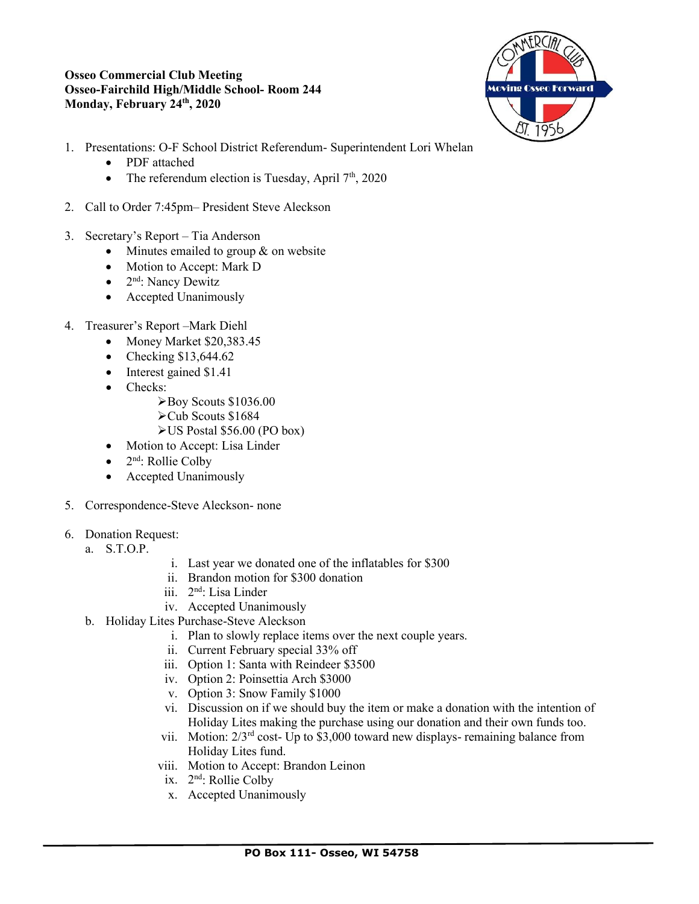#### **Osseo Commercial Club Meeting Osseo-Fairchild High/Middle School- Room 244 Monday, February 24th, 2020**



- 1. Presentations: O-F School District Referendum- Superintendent Lori Whelan
	- PDF attached
	- The referendum election is Tuesday, April  $7<sup>th</sup>$ , 2020
- 2. Call to Order 7:45pm– President Steve Aleckson
- 3. Secretary's Report Tia Anderson
	- Minutes emailed to group & on website
	- Motion to Accept: Mark D
	- $2<sup>nd</sup>$ : Nancy Dewitz
	- Accepted Unanimously
- 4. Treasurer's Report –Mark Diehl
	- Money Market \$20,383.45
	- Checking  $$13,644.62$
	- Interest gained \$1.41
	- Checks:
		- ➢Boy Scouts \$1036.00
		- ➢Cub Scouts \$1684
		- ➢US Postal \$56.00 (PO box)
	- Motion to Accept: Lisa Linder
	- $2<sup>nd</sup>$ : Rollie Colby
	- Accepted Unanimously
- 5. Correspondence-Steve Aleckson- none
- 6. Donation Request:
	- a. S.T.O.P.
- i. Last year we donated one of the inflatables for \$300
- ii. Brandon motion for \$300 donation
- iii. 2nd: Lisa Linder
- iv. Accepted Unanimously
- b. Holiday Lites Purchase-Steve Aleckson
	- i. Plan to slowly replace items over the next couple years.
	- ii. Current February special 33% off
	- iii. Option 1: Santa with Reindeer \$3500
	- iv. Option 2: Poinsettia Arch \$3000
	- v. Option 3: Snow Family \$1000
	- vi. Discussion on if we should buy the item or make a donation with the intention of Holiday Lites making the purchase using our donation and their own funds too.
	- vii. Motion:  $2/3^{rd}$  cost- Up to \$3,000 toward new displays- remaining balance from Holiday Lites fund.
	- viii. Motion to Accept: Brandon Leinon
	- ix. 2nd: Rollie Colby
	- x. Accepted Unanimously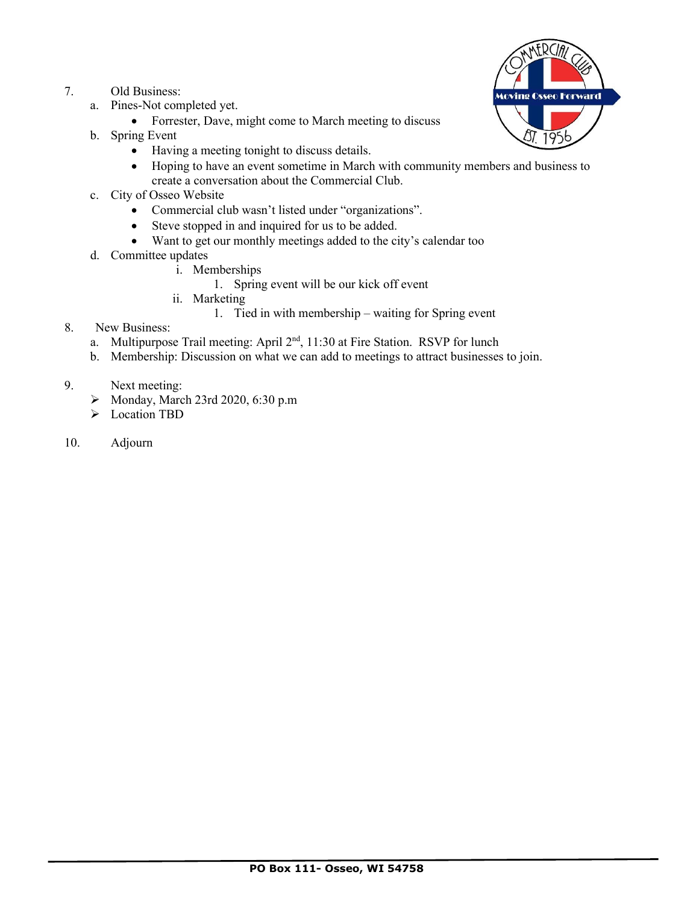- 7. Old Business:
	- a. Pines-Not completed yet.
		- Forrester, Dave, might come to March meeting to discuss
	- b. Spring Event
		- Having a meeting tonight to discuss details.
		- Hoping to have an event sometime in March with community members and business to create a conversation about the Commercial Club.
	- c. City of Osseo Website
		- Commercial club wasn't listed under "organizations".
		- Steve stopped in and inquired for us to be added.
		- Want to get our monthly meetings added to the city's calendar too
	- d. Committee updates
		- i. Memberships
			- 1. Spring event will be our kick off event
		- ii. Marketing
			- 1. Tied in with membership waiting for Spring event
- 8. New Business:
	- a. Multipurpose Trail meeting: April 2<sup>nd</sup>, 11:30 at Fire Station. RSVP for lunch
	- b. Membership: Discussion on what we can add to meetings to attract businesses to join.
- 9. Next meeting:
	- ➢ Monday, March 23rd 2020, 6:30 p.m
	- ➢ Location TBD
- 10. Adjourn

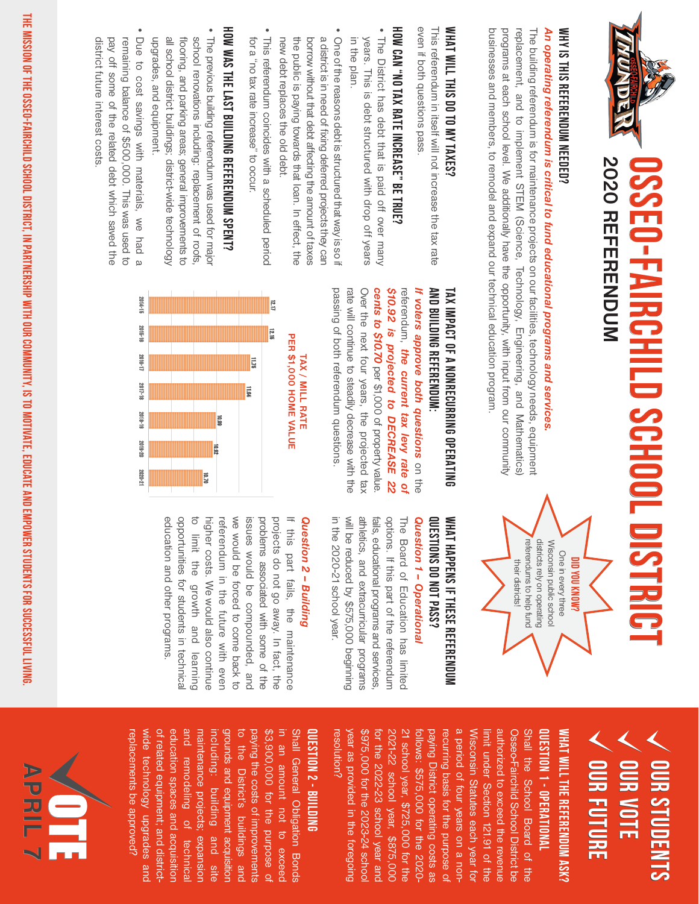

### WHY IS THIS REFERENDUM NEEDED? WHY IS THIS REFERENDUM NEEDED?

# An operating referendum is critical to fund educational programs and services. *An operating referendum is critical to fund educational programs and services.*

businesses and members, to remodel and expand our technical education program. programs at each school level. We additionally have the opportunity, with input from our community replacement, and to implement STEM (Science, Technology, Engineering, and Mathematics) The building referendum is for maintenance projects on our facilities, technology needs, equipment businesses and members, to remodel and expand our technical education program. programs at each school level. We additionally have the opportunity, with input from our community replacement, and to implement STEM (Science, Technology, Engineering, and Mathematics) The building referendum is for maintenance projects on our facilities, technology needs, equipment

### WHAT WILL THIS DO TO MY TAXES? **WHAT WILL THIS DO TO MY TAXES?**

even it both questions pass even if both questions pass. This referendum in itself will not increase the tax rate This referendum in itself will not increase the tax rate

### HOW CAN "NO TAX RATE INCREASE" BE TRUE? **HOW CAN "NO TAX RATE INCREASE" BE TRUE?**

- The District has debt that is paid off over many in the plan. years. This is debt structured with drop off years in the plan. years. This is debt structured with drop off years The District has debt that is paid off over many
- One of the reasons debt is structured that way is so if a district is in need of fixing deferred projects they can new debt replaces the old debt. the public is paying towards that loan. In effect, the borrow without that debt affecting the amount of taxes new debt replaces the old debt. the public is paying towards that loan. In effect, the borrow without that debt affecting the amount of taxes a district is in need of fixing deferred projects they can One of the reasons debt is structured that way is so if
- This referendum coincides with a scheduled period for a "no tax rate increase" to occur for a "no tax rate increase" to occur. This referendum coincides with a scheduled period

## HOW WAS THE LAST BUILDING REFERENDUM SPENT? **HOW WAS THE LAST BUILDING REFERENDUM SPENT?**

- The previous building referendum was used for major all school district buildings; district-wide technology school renovations including: replacement of roofs, upgrades, and equipment. flooring, and parking areas; general improvements to upgrades, and equipment. all school district buildings; district-wide technology flooring, and parking areas; general improvements to school renovations including: replacement of roofs, The previous building referendum was used for major
- Due to cost savings with materials, we had a district future interest costs pay off some of the related debt which saved the remaining balance of \$500,000. This was used to district future interest costs. pay off some of the related debt which saved the remaining balance of \$500,000. This was used to Due to cost savings with materials, we had a

#### **AND BUILDING REFERENDUM: AND BUILDING REFERENDUM: TAX IMPACT OF A NONRECURRING OPERATING TAX IMPACT OF A NONRECURRING OPERATING**

passing of both referendum questions. cents to \$10.70 per \$1,000 of property value passing of both referendum questions. rate will continue to steadily decrease with the rate will continue to steadily decrease with the Over the next four years, the projected tax Over the next four years, the projected tax *cents to \$10.70*  \$10.92 is projected to DECREASE 22 *\$10.92 is projected to DECREASE 22*  referendum, the current tax levy rate of referendum, It voters approve both questions on the *If voters approve both questions the current tax levy rate of*  per \$1,000 of property value.



#### referendums to help fund districts rely on operating Wisconsin public school referendums to help fund districts rely on operating Wisconsin public school One in every three One in every three *¿MONY NOV CILC* their districts! **DID YOU KNOW?** their districts!

#### WHAT HAPPENS IF THESE REFERENDUM Question 1 - Operational *Question 1 – Operational* QUESTIONS DO NOT PASS? **QUESTIONS DO NOT PASS? WHAT HAPPENS IF THESE REFERENDUM**

in the 2020-21 school year. will be reduced by \$575,000 beginning athletics, and extracurricular programs fails, educational programs and services options. If this part of the referendum The Board of Education has limited in the 2020-21 school year. will be reduced by \$575,000 beginning athletics, and extracurricular programs fails, educational programs and services, options. If this part of the referendum The Board of Education has limited

#### Question 2 - Building *Question 2 – Building*

education and other programs. opportunities for students in technical to limit the growth and learning higher costs. We would also continue referendum in the future with even we would be forced to come back to issues would be compounded, and problems associated with some of the projects do not go away. In tact, the If this part fails, the maintenance education and other programs. opportunities for students in technical to limit the growth and learning higher costs. We would also continue referendum in the future with even we would be forced to come back to issues would be compounded, and problems associated with some of the projects do not go away. In fact, the If this part fails, the maintenance

#### **OUR STUDENTS Our Vote Our OUR FUTURE Our Future Our Future Our Students Our Students**

#### **QUESTION 1 - OPERATIONAL WHAT WILL THE REFERENDUM ASK? QUESTION 1 - OPERATIONAL WHAT WILL THE REFERENDUM ASK?**

\$975,000 for the 2023-24 schoo 2021-22 school year, \$875,000 21 school year, \$725,000 for the paying District operating costs as recurring basis for the purpose o a period of four years on a non Wisconsin Statutes each year for limit under Section 121.91 of the authorized to exceed the revenue Osseo-Fairchild School District be Shall the School Board of the resolution? resolution? year as provided in the toregoing year as provided in the foregoing \$975,000 for the 2023-24 school for the 2022-23 school year anc for the 2022-23 school year and 2021-22 school year, \$875,000 21 school year, \$725,000 for the follows: \$575,000 for the 2020follows: \$575,000 for the 2020 paying District operating costs as recurring basis for the purpose of a period of four years on a non-Wisconsin Statutes each year for limit under Section 121.91 of the authorized to exceed the revenue Osseo-Fairchild School District be Shall the School Board of the

#### QUESTION 2 - BUILDING **QUESTION 2 - BUILDING**

wide technology upgrades and of related equipment; and district education spaces and acquisitior and remodeling of technica maintenance projects; expansior grounds and equipment acquisition to the District's buildings and paying the costs of improvements \$3,900,000 for the purpose o in an amount not to exceed Shall General Obligation Bonds replacements be approved? replacements be approved? wide technology upgrades and of related equipment; and districteducation spaces and acquisition and remodeling of technical maintenance projects; expansion including: building and site including: building and site grounds and equipment acquisition to the District's buildings and paying the costs of improvements \$3,900,000 for the purpose of in an amount not to exceed Shall General Obligation Bonds